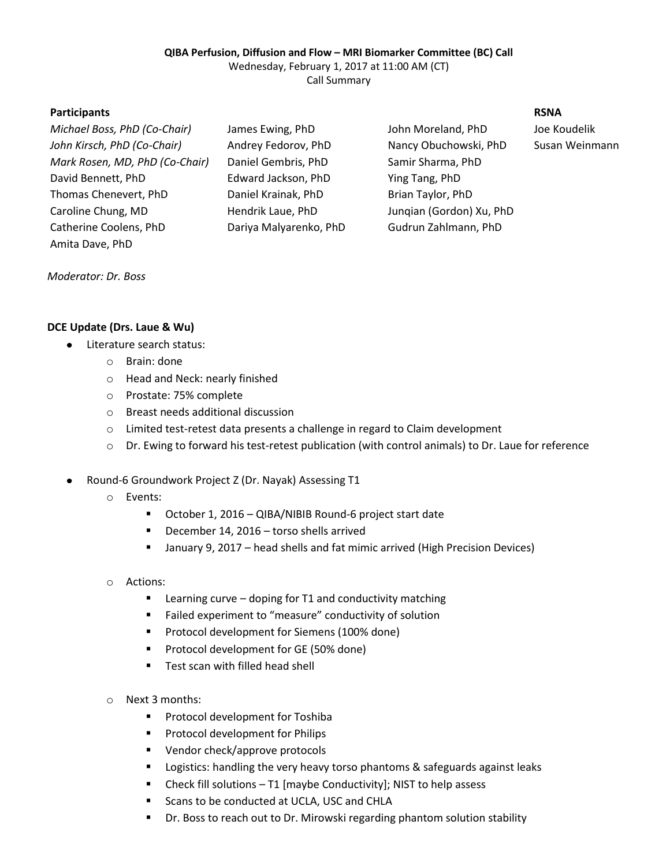#### **QIBA Perfusion, Diffusion and Flow – MRI Biomarker Committee (BC) Call**

Wednesday, February 1, 2017 at 11:00 AM (CT)

Call Summary

## **Participants RSNA**

| Michael Boss, PhD (Co-Chair)   | James Ewing, PhD       | John Moreland, PhD       | Joe Koudelik |
|--------------------------------|------------------------|--------------------------|--------------|
| John Kirsch, PhD (Co-Chair)    | Andrey Fedorov, PhD    | Nancy Obuchowski, PhD    | Susan Weinr  |
| Mark Rosen, MD, PhD (Co-Chair) | Daniel Gembris, PhD    | Samir Sharma, PhD        |              |
| David Bennett, PhD             | Edward Jackson, PhD    | Ying Tang, PhD           |              |
| Thomas Chenevert, PhD          | Daniel Krainak, PhD    | Brian Taylor, PhD        |              |
| Caroline Chung, MD             | Hendrik Laue, PhD      | Jungian (Gordon) Xu, PhD |              |
| Catherine Coolens, PhD         | Dariya Malyarenko, PhD | Gudrun Zahlmann, PhD     |              |
| Amita Dave, PhD                |                        |                          |              |

*John Kirsch, PhD (Co-Chair)* Andrey Fedorov, PhD Nancy Obuchowski, PhD Susan Weinmann

## *Moderator: Dr. Boss*

## **DCE Update (Drs. Laue & Wu)**

- Literature search status:
	- o Brain: done
	- o Head and Neck: nearly finished
	- o Prostate: 75% complete
	- o Breast needs additional discussion
	- o Limited test-retest data presents a challenge in regard to Claim development
	- o Dr. Ewing to forward his test-retest publication (with control animals) to Dr. Laue for reference
- Round-6 Groundwork Project Z (Dr. Nayak) Assessing T1  $\bullet$ 
	- o Events:
		- October 1, 2016 QIBA/NIBIB Round-6 project start date
		- December 14, 2016 torso shells arrived
		- January 9, 2017 head shells and fat mimic arrived (High Precision Devices)
	- o Actions:
		- Learning curve doping for T1 and conductivity matching
		- Failed experiment to "measure" conductivity of solution
		- **Protocol development for Siemens (100% done)**
		- **Protocol development for GE (50% done)**
		- **Test scan with filled head shell**
	- o Next 3 months:
		- **Protocol development for Toshiba**
		- **Protocol development for Philips**
		- **Vendor check/approve protocols**
		- **EXEC** Logistics: handling the very heavy torso phantoms & safeguards against leaks
		- Check fill solutions T1 [maybe Conductivity]; NIST to help assess
		- **EXEC** Scans to be conducted at UCLA, USC and CHLA
		- **Dr.** Boss to reach out to Dr. Mirowski regarding phantom solution stability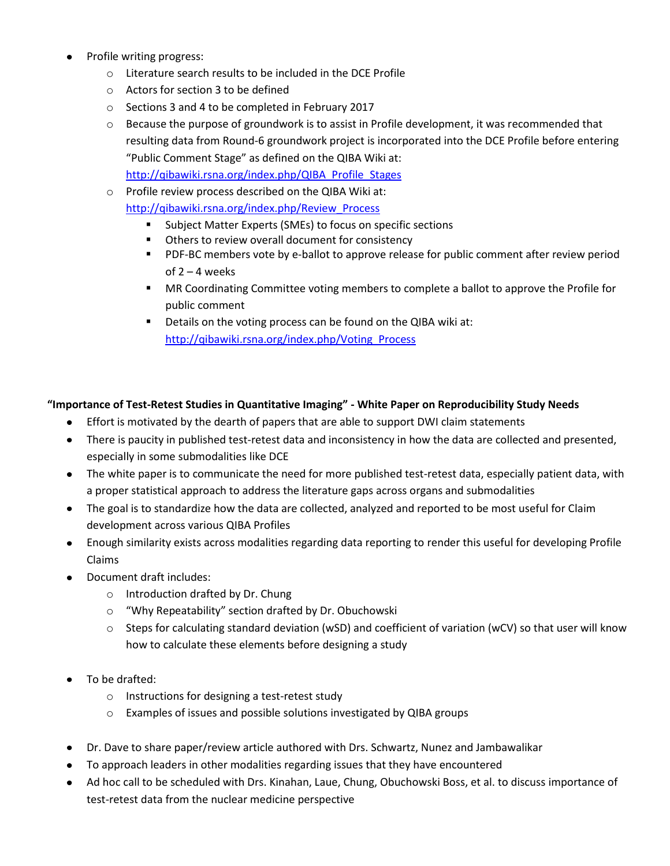- Profile writing progress:
	- o Literature search results to be included in the DCE Profile
	- o Actors for section 3 to be defined
	- o Sections 3 and 4 to be completed in February 2017
	- o Because the purpose of groundwork is to assist in Profile development, it was recommended that resulting data from Round-6 groundwork project is incorporated into the DCE Profile before entering "Public Comment Stage" as defined on the QIBA Wiki at: [http://qibawiki.rsna.org/index.php/QIBA\\_Profile\\_Stages](http://qibawiki.rsna.org/index.php/QIBA_Profile_Stages)
	- o Profile review process described on the QIBA Wiki at:

[http://qibawiki.rsna.org/index.php/Review\\_Process](http://qibawiki.rsna.org/index.php/Review_Process)

- Subject Matter Experts (SMEs) to focus on specific sections
- **•** Others to review overall document for consistency
- **PDF-BC members vote by e-ballot to approve release for public comment after review period** of  $2 - 4$  weeks
- **MR Coordinating Committee voting members to complete a ballot to approve the Profile for** public comment
- Details on the voting process can be found on the QIBA wiki at: [http://qibawiki.rsna.org/index.php/Voting\\_Process](http://qibawiki.rsna.org/index.php/Voting_Process)

# **"Importance of Test-Retest Studies in Quantitative Imaging" - White Paper on Reproducibility Study Needs**

- Effort is motivated by the dearth of papers that are able to support DWI claim statements
- There is paucity in published test-retest data and inconsistency in how the data are collected and presented, especially in some submodalities like DCE
- The white paper is to communicate the need for more published test-retest data, especially patient data, with a proper statistical approach to address the literature gaps across organs and submodalities
- $\bullet$ The goal is to standardize how the data are collected, analyzed and reported to be most useful for Claim development across various QIBA Profiles
- Enough similarity exists across modalities regarding data reporting to render this useful for developing Profile Claims
- Document draft includes:
	- o Introduction drafted by Dr. Chung
	- o "Why Repeatability" section drafted by Dr. Obuchowski
	- $\circ$  Steps for calculating standard deviation (wSD) and coefficient of variation (wCV) so that user will know how to calculate these elements before designing a study
- To be drafted:
	- o Instructions for designing a test-retest study
	- o Examples of issues and possible solutions investigated by QIBA groups
- Dr. Dave to share paper/review article authored with Drs. Schwartz, Nunez and Jambawalikar
- To approach leaders in other modalities regarding issues that they have encountered
- Ad hoc call to be scheduled with Drs. Kinahan, Laue, Chung, Obuchowski Boss, et al. to discuss importance of test-retest data from the nuclear medicine perspective